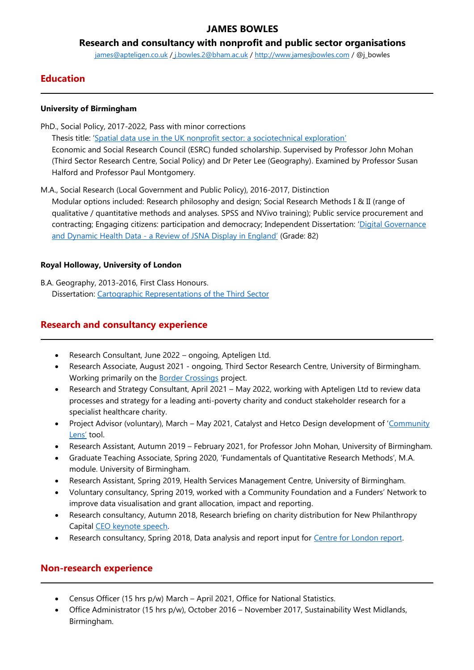# **JAMES BOWLES**

**Research and consultancy with nonprofit and public sector organisations**

[james@apteligen.co.uk](mailto:james@apteligen.co.uk) / j.bowles.2@bham.ac.uk / [http://www.jamesjbowles.com](http://www.jamesjbowles.com/) / @j\_bowles

# **Education**

#### **University of Birmingham**

PhD., Social Policy, 2017-2022, Pass with minor corrections Thesis title: '[Spatial data use in the UK nonprofit sector: a sociotechnical exploration](https://thirdsectorgeographycom.files.wordpress.com/2022/05/j_bowles_nonprofitspatial-data_thesispostviva_march2022.pdf)' Economic and Social Research Council (ESRC) funded scholarship. Supervised by Professor John Mohan (Third Sector Research Centre, Social Policy) and Dr Peter Lee (Geography). Examined by Professor Susan Halford and Professor Paul Montgomery.

M.A., Social Research (Local Government and Public Policy), 2016-2017, Distinction

Modular options included: Research philosophy and design; Social Research Methods I & II (range of qualitative / quantitative methods and analyses. SPSS and NVivo training); Public service procurement and contracting; Engaging citizens: participation and democracy; Independent Dissertation: '[Digital Governance](https://thirdsectorgeographycom.files.wordpress.com/2022/03/digital-governance-and-dynamic-health-data-a-review-of-jsna-display_publicpdf.pdf)  and Dynamic Health Data - [a Review of JSNA Display in England](https://thirdsectorgeographycom.files.wordpress.com/2022/03/digital-governance-and-dynamic-health-data-a-review-of-jsna-display_publicpdf.pdf)' (Grade: 82)

### **Royal Holloway, University of London**

B.A. Geography, 2013-2016, First Class Honours. Dissertation: [Cartographic Representations of the Third Sector](https://thirdsectorgeographycom.files.wordpress.com/2017/01/cartographic-representations-of-the-third-sector-james-bowles-webversion1.pdf)

### **Research and consultancy experience**

- Research Consultant, June 2022 ongoing, Apteligen Ltd.
- Research Associate, August 2021 ongoing, Third Sector Research Centre, University of Birmingham. Working primarily on the **Border Crossings** project.
- Research and Strategy Consultant, April 2021 May 2022, working with Apteligen Ltd to review data processes and strategy for a leading anti-poverty charity and conduct stakeholder research for a specialist healthcare charity.
- Project Advisor (voluntary), March May 2021, Catalyst and Hetco Design development of '[Community](https://datakind-uk.github.io/community-lens/)  [Lens'](https://datakind-uk.github.io/community-lens/) tool.
- Research Assistant, Autumn 2019 February 2021, for Professor John Mohan, University of Birmingham.
- Graduate Teaching Associate, Spring 2020, 'Fundamentals of Quantitative Research Methods', M.A. module. University of Birmingham.
- Research Assistant, Spring 2019, Health Services Management Centre, University of Birmingham.
- Voluntary consultancy, Spring 2019, worked with a Community Foundation and a Funders' Network to improve data visualisation and grant allocation, impact and reporting.
- Research consultancy, Autumn 2018, Research briefing on charity distribution for New Philanthropy Capital [CEO keynote speech.](https://www.thinknpc.org/resource-hub/where-next-for-charities-and-civil-society/)
- Research consultancy, Spring 2018, Data analysis and report input for [Centre for London report.](https://www.centreforlondon.org/reader/giving-more-better-together/acknowledgements/)

## **Non-research experience**

- Census Officer (15 hrs p/w) March April 2021, Office for National Statistics.
- Office Administrator (15 hrs p/w), October 2016 November 2017, Sustainability West Midlands, Birmingham.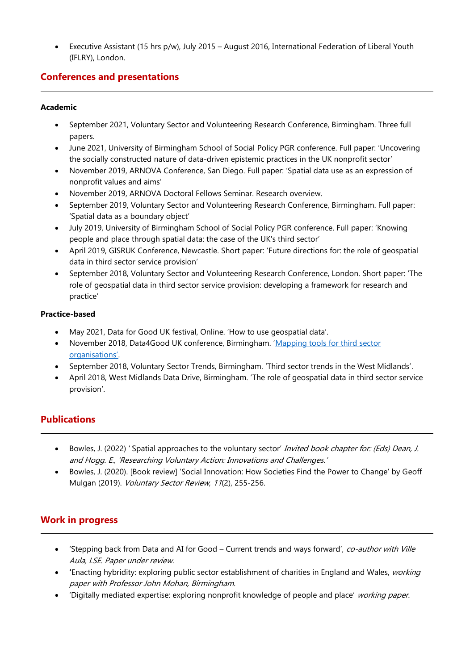• Executive Assistant (15 hrs p/w), July 2015 – August 2016, International Federation of Liberal Youth (IFLRY), London.

# **Conferences and presentations**

#### **Academic**

- September 2021, Voluntary Sector and Volunteering Research Conference, Birmingham. Three full papers.
- June 2021, University of Birmingham School of Social Policy PGR conference. Full paper: 'Uncovering the socially constructed nature of data-driven epistemic practices in the UK nonprofit sector'
- November 2019, ARNOVA Conference, San Diego. Full paper: 'Spatial data use as an expression of nonprofit values and aims'
- November 2019, ARNOVA Doctoral Fellows Seminar. Research overview.
- September 2019, Voluntary Sector and Volunteering Research Conference, Birmingham. Full paper: 'Spatial data as a boundary object'
- July 2019, University of Birmingham School of Social Policy PGR conference. Full paper: 'Knowing people and place through spatial data: the case of the UK's third sector'
- April 2019, GISRUK Conference, Newcastle. Short paper: 'Future directions for: the role of geospatial data in third sector service provision'
- September 2018, Voluntary Sector and Volunteering Research Conference, London. Short paper: 'The role of geospatial data in third sector service provision: developing a framework for research and practice'

#### **Practice-based**

- May 2021, Data for Good UK festival, Online. 'How to use geospatial data'.
- November 2018, Data4Good UK conference, Birmingham. 'Mapping tools for third sector [organisations'](https://thirdsectorgeography.com/2018/11/14/mapping-tools-for-charities/).
- September 2018, Voluntary Sector Trends, Birmingham. 'Third sector trends in the West Midlands'.
- April 2018, West Midlands Data Drive, Birmingham. 'The role of geospatial data in third sector service provision'.

## **Publications**

- Bowles, J. (2022) 'Spatial approaches to the voluntary sector' Invited book chapter for: (Eds) Dean, J. and Hogg. E., 'Researching Voluntary Action: Innovations and Challenges.'
- Bowles, J. (2020). [Book review] 'Social Innovation: How Societies Find the Power to Change' by Geoff Mulgan (2019). Voluntary Sector Review, <sup>11</sup>(2), 255-256.

## **Work in progress**

- 'Stepping back from Data and AI for Good Current trends and ways forward', co-author with Ville Aula, LSE. Paper under review.
- **'**Enacting hybridity: exploring public sector establishment of charities in England and Wales, working paper with Professor John Mohan, Birmingham.
- 'Digitally mediated expertise: exploring nonprofit knowledge of people and place' working paper.